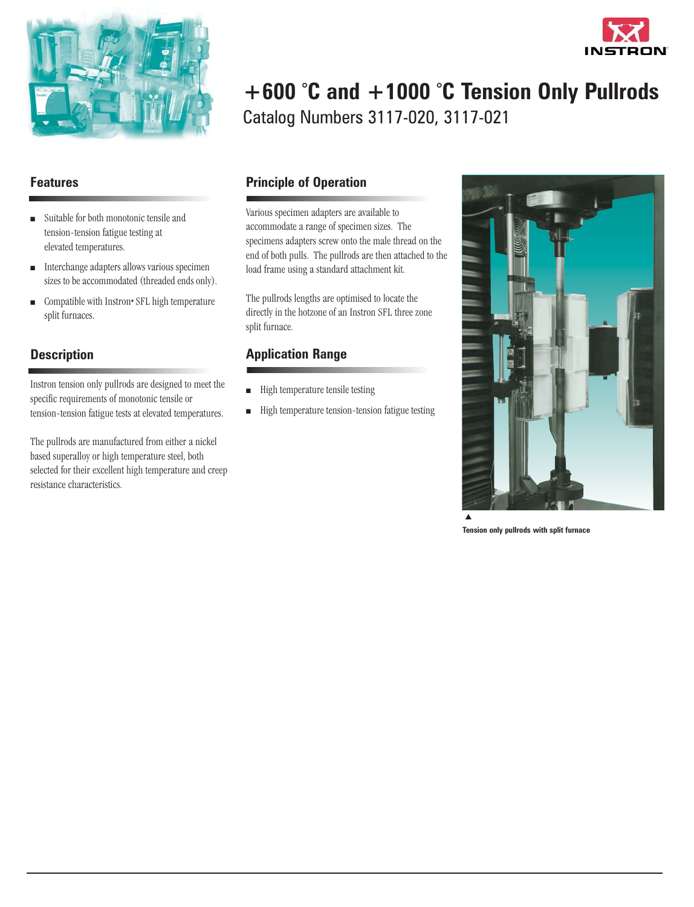

# **+600 ° C and +1000 ° C Tension Only Pullrods** Catalog Numbers 3117-020, 3117-021

# **Features**

- **n** Suitable for both monotonic tensile and tension-tension fatigue testing at elevated temperatures.
- $\blacksquare$  Interchange adapters allows various specimen sizes to be accommodated (threaded ends only).
- Compatible with Instron• SFL high temperature split furnaces.

# **Description**

Instron tension only pullrods are designed to meet the specific requirements of monotonic tensile or tension-tension fatigue tests at elevated temperatures.

The pullrods are manufactured from either a nickel based superalloy or high temperature steel, both selected for their excellent high temperature and creep resistance characteristics.

# **Principle of Operation**

Various specimen adapters are available to accommodate a range of specimen sizes. The specimens adapters screw onto the male thread on the end of both pulls. The pullrods are then attached to the load frame using a standard attachment kit.

The pullrods lengths are optimised to locate the directly in the hotzone of an Instron SFL three zone split furnace.

# **Application Range**

- $\blacksquare$  High temperature tensile testing
- $\blacksquare$  High temperature tension-tension fatigue testing



**Tension only pullrods with split furnace**